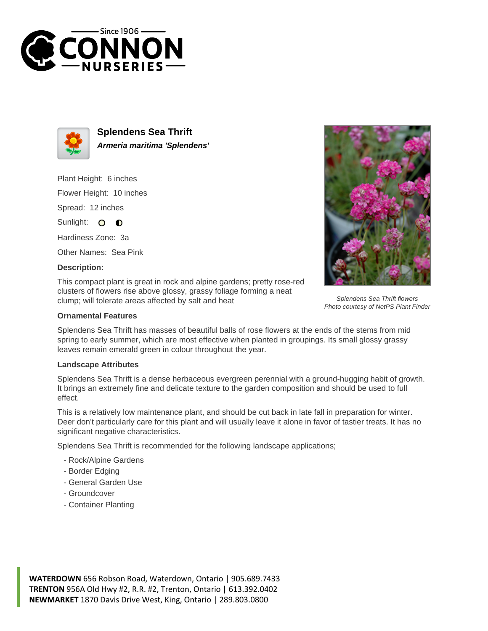



**Splendens Sea Thrift Armeria maritima 'Splendens'**

Plant Height: 6 inches

Flower Height: 10 inches

Spread: 12 inches

Sunlight: O **O** 

Hardiness Zone: 3a

Other Names: Sea Pink

## **Description:**

This compact plant is great in rock and alpine gardens; pretty rose-red clusters of flowers rise above glossy, grassy foliage forming a neat clump; will tolerate areas affected by salt and heat

## **Ornamental Features**

Splendens Sea Thrift has masses of beautiful balls of rose flowers at the ends of the stems from mid spring to early summer, which are most effective when planted in groupings. Its small glossy grassy leaves remain emerald green in colour throughout the year.

## **Landscape Attributes**

Splendens Sea Thrift is a dense herbaceous evergreen perennial with a ground-hugging habit of growth. It brings an extremely fine and delicate texture to the garden composition and should be used to full effect.

This is a relatively low maintenance plant, and should be cut back in late fall in preparation for winter. Deer don't particularly care for this plant and will usually leave it alone in favor of tastier treats. It has no significant negative characteristics.

Splendens Sea Thrift is recommended for the following landscape applications;

- Rock/Alpine Gardens
- Border Edging
- General Garden Use
- Groundcover
- Container Planting



Splendens Sea Thrift flowers Photo courtesy of NetPS Plant Finder